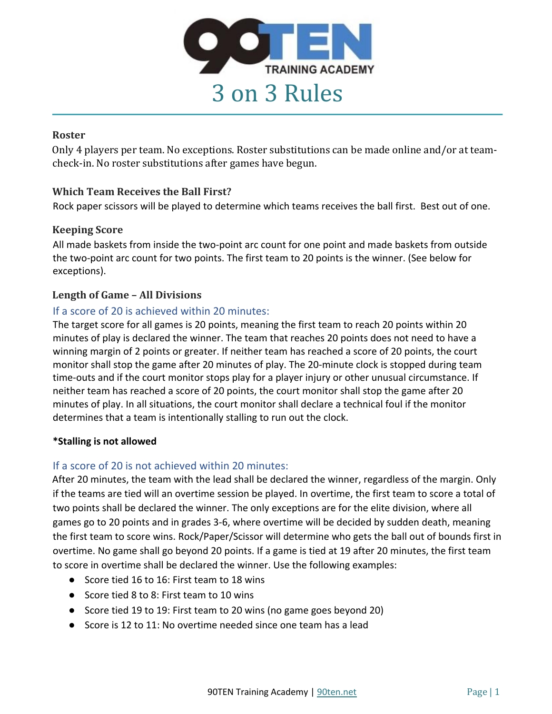

#### **Roster**

Only 4 players per team. No exceptions. Roster substitutions can be made online and/or at teamcheck-in. No roster substitutions after games have begun.

# **Which Team Receives the Ball First?**

Rock paper scissors will be played to determine which teams receives the ball first. Best out of one.

## **Keeping Score**

All made baskets from inside the two-point arc count for one point and made baskets from outside the two-point arc count for two points. The first team to 20 points is the winner. (See below for exceptions).

# Length of Game – All Divisions

# If a score of 20 is achieved within 20 minutes:

The target score for all games is 20 points, meaning the first team to reach 20 points within 20 minutes of play is declared the winner. The team that reaches 20 points does not need to have a winning margin of 2 points or greater. If neither team has reached a score of 20 points, the court monitor shall stop the game after 20 minutes of play. The 20-minute clock is stopped during team time-outs and if the court monitor stops play for a player injury or other unusual circumstance. If neither team has reached a score of 20 points, the court monitor shall stop the game after 20 minutes of play. In all situations, the court monitor shall declare a technical foul if the monitor determines that a team is intentionally stalling to run out the clock.

## **\*Stalling is not allowed**

## If a score of 20 is not achieved within 20 minutes:

After 20 minutes, the team with the lead shall be declared the winner, regardless of the margin. Only if the teams are tied will an overtime session be played. In overtime, the first team to score a total of two points shall be declared the winner. The only exceptions are for the elite division, where all games go to 20 points and in grades 3-6, where overtime will be decided by sudden death, meaning the first team to score wins. Rock/Paper/Scissor will determine who gets the ball out of bounds first in overtime. No game shall go beyond 20 points. If a game is tied at 19 after 20 minutes, the first team to score in overtime shall be declared the winner. Use the following examples:

- Score tied 16 to 16: First team to 18 wins
- Score tied 8 to 8: First team to 10 wins
- Score tied 19 to 19: First team to 20 wins (no game goes beyond 20)
- Score is 12 to 11: No overtime needed since one team has a lead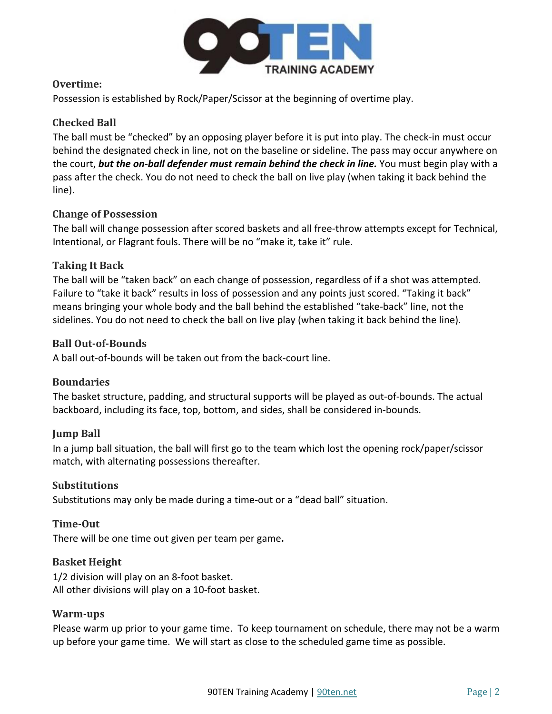

## **Overtime:**

Possession is established by Rock/Paper/Scissor at the beginning of overtime play.

## **Checked Ball**

The ball must be "checked" by an opposing player before it is put into play. The check-in must occur behind the designated check in line, not on the baseline or sideline. The pass may occur anywhere on the court, *but the on-ball defender must remain behind the check in line.* You must begin play with a pass after the check. You do not need to check the ball on live play (when taking it back behind the line).

## **Change of Possession**

The ball will change possession after scored baskets and all free-throw attempts except for Technical, Intentional, or Flagrant fouls. There will be no "make it, take it" rule.

#### **Taking It Back**

The ball will be "taken back" on each change of possession, regardless of if a shot was attempted. Failure to "take it back" results in loss of possession and any points just scored. "Taking it back" means bringing your whole body and the ball behind the established "take-back" line, not the sidelines. You do not need to check the ball on live play (when taking it back behind the line).

#### **Ball Out-of-Bounds**

A ball out-of-bounds will be taken out from the back-court line.

#### **Boundaries**

The basket structure, padding, and structural supports will be played as out-of-bounds. The actual backboard, including its face, top, bottom, and sides, shall be considered in-bounds.

## **Jump Ball**

In a jump ball situation, the ball will first go to the team which lost the opening rock/paper/scissor match, with alternating possessions thereafter.

#### **Substitutions**

Substitutions may only be made during a time-out or a "dead ball" situation.

## **Time-Out**

There will be one time out given per team per game**.** 

#### **Basket Height**

1/2 division will play on an 8-foot basket. All other divisions will play on a 10-foot basket.

#### **Warm-ups**

Please warm up prior to your game time. To keep tournament on schedule, there may not be a warm up before your game time. We will start as close to the scheduled game time as possible.